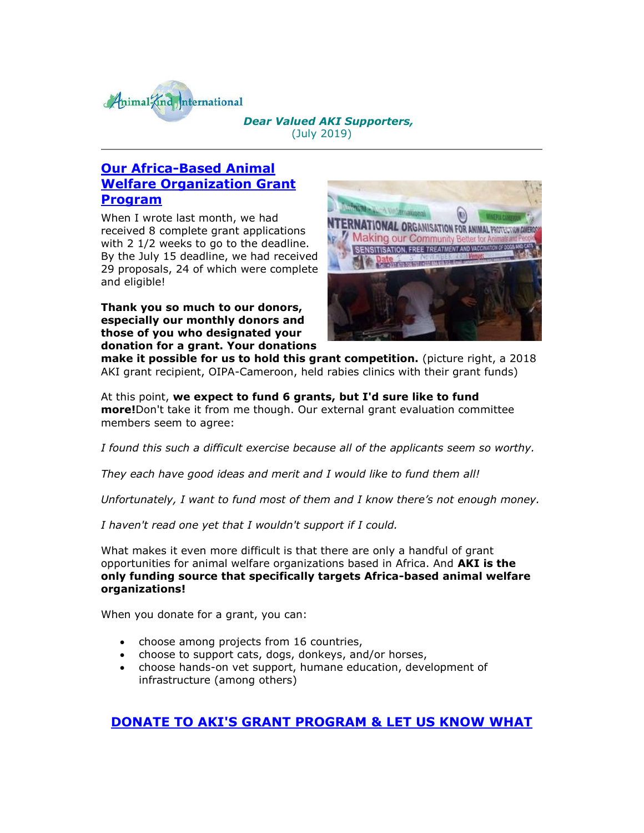

### *Dear Valued AKI Supporters,* (July 2019)

## **[Our Africa-Based Animal](http://cts.vresp.com/c/?AnimalKindInternatio/204b69fe47/4d75da415c/62336317d7)  [Welfare Organization Grant](http://cts.vresp.com/c/?AnimalKindInternatio/204b69fe47/4d75da415c/62336317d7)  [Program](http://cts.vresp.com/c/?AnimalKindInternatio/204b69fe47/4d75da415c/62336317d7)**

When I wrote last month, we had received 8 complete grant applications with 2 1/2 weeks to go to the deadline. By the July 15 deadline, we had received 29 proposals, 24 of which were complete and eligible!

**Thank you so much to our donors, especially our monthly donors and those of you who designated your donation for a grant. Your donations** 



**make it possible for us to hold this grant competition.** (picture right, a 2018 AKI grant recipient, OIPA-Cameroon, held rabies clinics with their grant funds)

At this point, **we expect to fund 6 grants, but I'd sure like to fund more!**Don't take it from me though. Our external grant evaluation committee members seem to agree:

*I found this such a difficult exercise because all of the applicants seem so worthy.*

*They each have good ideas and merit and I would like to fund them all!*

*Unfortunately, I want to fund most of them and I know there's not enough money.*

*I haven't read one yet that I wouldn't support if I could.*

What makes it even more difficult is that there are only a handful of grant opportunities for animal welfare organizations based in Africa. And **AKI is the only funding source that specifically targets Africa-based animal welfare organizations!**

When you donate for a grant, you can:

- choose among projects from 16 countries,
- choose to support cats, dogs, donkeys, and/or horses,
- choose hands-on vet support, humane education, development of infrastructure (among others)

## **[DONATE TO AKI'S GRANT PROGRAM & LET US KNOW WHAT](http://cts.vresp.com/c/?AnimalKindInternatio/204b69fe47/4d75da415c/ea2b2e3225)**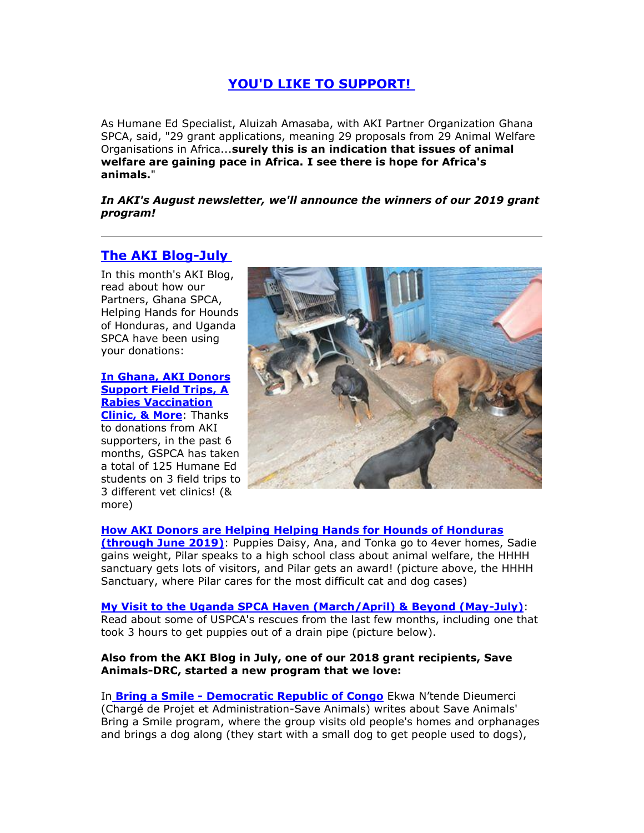### **[YOU'D LIKE TO SUPPORT!](http://cts.vresp.com/c/?AnimalKindInternatio/204b69fe47/4d75da415c/ea2b2e3225)**

As Humane Ed Specialist, Aluizah Amasaba, with AKI Partner Organization Ghana SPCA, said, "29 grant applications, meaning 29 proposals from 29 Animal Welfare Organisations in Africa...**surely this is an indication that issues of animal welfare are gaining pace in Africa. I see there is hope for Africa's animals.**"

*In AKI's August newsletter, we'll announce the winners of our 2019 grant program!*

# **[The AKI Blog-July](http://cts.vresp.com/c/?AnimalKindInternatio/204b69fe47/4d75da415c/2de9711e82)**

In this month's AKI Blog, read about how our Partners, Ghana SPCA, Helping Hands for Hounds of Honduras, and Uganda SPCA have been using your donations:

#### **[In Ghana, AKI Donors](http://cts.vresp.com/c/?AnimalKindInternatio/204b69fe47/4d75da415c/3d6dbc4696)  [Support Field Trips, A](http://cts.vresp.com/c/?AnimalKindInternatio/204b69fe47/4d75da415c/3d6dbc4696)  [Rabies Vaccination](http://cts.vresp.com/c/?AnimalKindInternatio/204b69fe47/4d75da415c/3d6dbc4696)  [Clinic, & More](http://cts.vresp.com/c/?AnimalKindInternatio/204b69fe47/4d75da415c/3d6dbc4696)**: Thanks

to donations from AKI supporters, in the past 6 months, GSPCA has taken a total of 125 Humane Ed students on 3 field trips to 3 different vet clinics! (& more)



**[How AKI Donors are Helping Helping Hands for Hounds of Honduras](http://cts.vresp.com/c/?AnimalKindInternatio/204b69fe47/4d75da415c/d277d3c454)** 

**[\(through June 2019\)](http://cts.vresp.com/c/?AnimalKindInternatio/204b69fe47/4d75da415c/d277d3c454)**: Puppies Daisy, Ana, and Tonka go to 4ever homes, Sadie gains weight, Pilar speaks to a high school class about animal welfare, the HHHH sanctuary gets lots of visitors, and Pilar gets an award! (picture above, the HHHH Sanctuary, where Pilar cares for the most difficult cat and dog cases)

### **[My Visit to the Uganda SPCA Haven \(March/April\) & Beyond \(May-July\)](http://cts.vresp.com/c/?AnimalKindInternatio/204b69fe47/4d75da415c/06cf1807e8)**:

Read about some of USPCA's rescues from the last few months, including one that took 3 hours to get puppies out of a drain pipe (picture below).

#### **Also from the AKI Blog in July, one of our 2018 grant recipients, Save Animals-DRC, started a new program that we love:**

In **Bring a Smile - [Democratic Republic of Congo](http://cts.vresp.com/c/?AnimalKindInternatio/204b69fe47/4d75da415c/359174530d)** Ekwa N'tende Dieumerci (Chargé de Projet et Administration-Save Animals) writes about Save Animals' Bring a Smile program, where the group visits old people's homes and orphanages and brings a dog along (they start with a small dog to get people used to dogs),